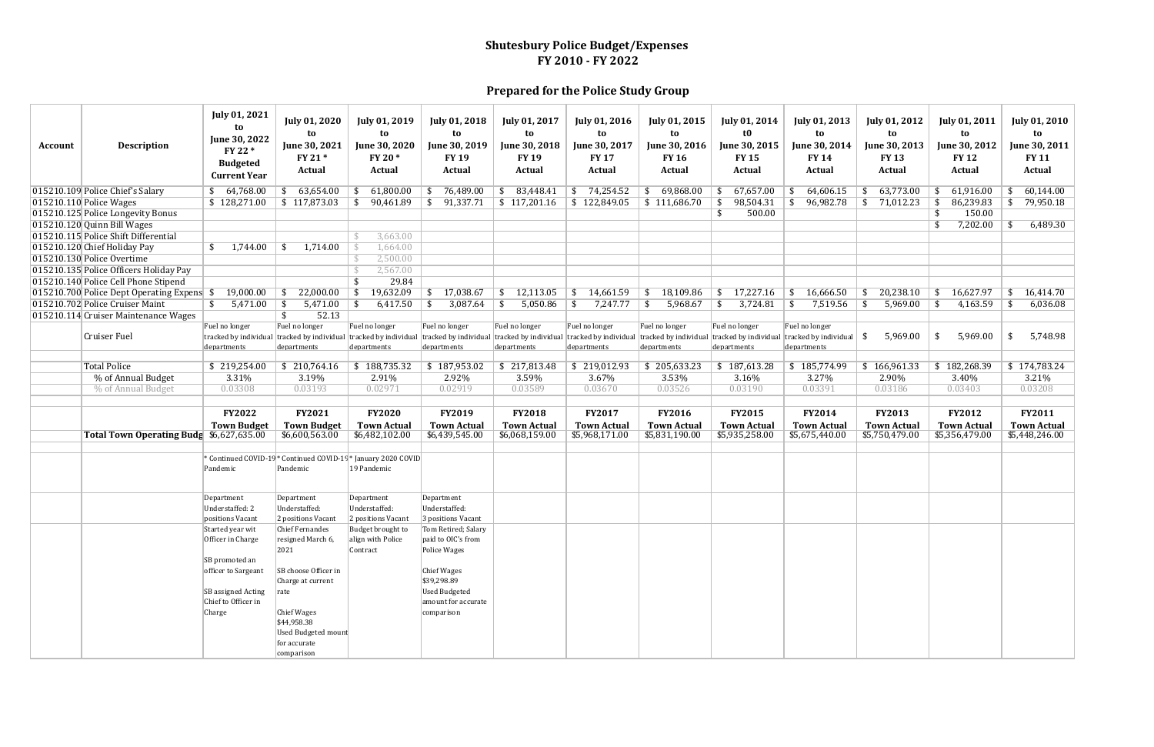| <b>Account</b> | <b>Description</b>                         | <b>July 01, 2021</b><br>to<br>June 30, 2022<br>FY 22 *<br><b>Budgeted</b><br><b>Current Year</b> | <b>July 01, 2020</b><br>to<br>June 30, 2021<br>FY 21*<br>Actual            | <b>July 01, 2019</b><br>to<br>June 30, 2020<br>FY 20 *<br>Actual | <b>July 01, 2018</b><br>to<br>June 30, 2019<br><b>FY 19</b><br><b>Actual</b>        | July 01, 2017<br>to<br>June 30, 2018<br><b>FY 19</b><br><b>Actual</b> | <b>July 01, 2016</b><br>to<br>June 30, 2017<br><b>FY 17</b><br><b>Actual</b> | July 01, 2015<br>to<br>June 30, 2016<br><b>FY 16</b><br>Actual | <b>July 01, 2014</b><br>t0<br>June 30, 2015<br><b>FY15</b><br><b>Actual</b>         | <b>July 01, 2013</b><br>to<br>June 30, 2014<br><b>FY 14</b><br>Actual | <b>July 01, 2012</b><br>to<br>June 30, 2013<br><b>FY 13</b><br>Actual | <b>July 01, 2011</b><br>to<br>June 30, 2012<br><b>FY 12</b><br>Actual | <b>July 01, 2010</b><br>to<br>June 30, 2011<br><b>FY 11</b><br>Actual |
|----------------|--------------------------------------------|--------------------------------------------------------------------------------------------------|----------------------------------------------------------------------------|------------------------------------------------------------------|-------------------------------------------------------------------------------------|-----------------------------------------------------------------------|------------------------------------------------------------------------------|----------------------------------------------------------------|-------------------------------------------------------------------------------------|-----------------------------------------------------------------------|-----------------------------------------------------------------------|-----------------------------------------------------------------------|-----------------------------------------------------------------------|
|                | 015210.109 Police Chief's Salary           | \$64,768.00                                                                                      | 63,654.00<br>\$                                                            | 61,800.00                                                        | 76,489.00                                                                           | 83,448.41                                                             | 74,254.52<br>\$                                                              | 69,868.00<br>\$                                                | 67,657.00                                                                           | 64,606.15                                                             | 63,773.00                                                             | 61,916.00                                                             | 60,144.00<br>\$                                                       |
|                | 015210.110 Police Wages                    | \$128,271.00                                                                                     | \$117,873.03                                                               | 90,461.89<br>\$                                                  | 91,337.71<br>-\$                                                                    | \$117,201.16                                                          | \$122,849.05                                                                 | $\frac{111,686.70}{111,686.70}$                                | 98,504.31<br>- \$                                                                   | 96,982.78<br>\$                                                       | 71,012.23<br>\$                                                       | 86,239.83<br>- 55                                                     | 79,950.18<br>\$                                                       |
|                | 015210.125 Police Longevity Bonus          |                                                                                                  |                                                                            |                                                                  |                                                                                     |                                                                       |                                                                              |                                                                | 500.00<br>-\$                                                                       |                                                                       |                                                                       | 150.00<br>-\$                                                         |                                                                       |
|                | 015210.120 Quinn Bill Wages                |                                                                                                  |                                                                            |                                                                  |                                                                                     |                                                                       |                                                                              |                                                                |                                                                                     |                                                                       |                                                                       | 7,202.00                                                              | 6,489.30<br>\$                                                        |
|                | 015210.115 Police Shift Differential       |                                                                                                  |                                                                            | 3,663.00                                                         |                                                                                     |                                                                       |                                                                              |                                                                |                                                                                     |                                                                       |                                                                       |                                                                       |                                                                       |
|                | 015210.120 Chief Holiday Pay               | 1,744.00<br>\$                                                                                   | 1,714.00<br>-S                                                             | 1,664.00                                                         |                                                                                     |                                                                       |                                                                              |                                                                |                                                                                     |                                                                       |                                                                       |                                                                       |                                                                       |
|                | 015210.130 Police Overtime                 |                                                                                                  |                                                                            | 2,500.00                                                         |                                                                                     |                                                                       |                                                                              |                                                                |                                                                                     |                                                                       |                                                                       |                                                                       |                                                                       |
|                | 015210.135 Police Officers Holiday Pay     |                                                                                                  |                                                                            | 2,567.00                                                         |                                                                                     |                                                                       |                                                                              |                                                                |                                                                                     |                                                                       |                                                                       |                                                                       |                                                                       |
|                | 015210.140 Police Cell Phone Stipend       |                                                                                                  |                                                                            | 29.84                                                            |                                                                                     |                                                                       |                                                                              |                                                                |                                                                                     |                                                                       |                                                                       |                                                                       |                                                                       |
|                | 015210.700 Police Dept Operating Expens \$ | 19,000.00                                                                                        | 22,000.00<br>-S                                                            | 19,632.09<br>\$                                                  | 17,038.67<br>-S                                                                     | 12,113.05                                                             | 14,661.59<br>S.                                                              | 18,109.86<br>\$                                                | 17,227.16<br>- \$                                                                   | 16,666.50                                                             | 20,238.10                                                             | 16,627.97<br>- \$                                                     | 16,414.70<br>\$                                                       |
|                | 015210.702 Police Cruiser Maint            | \$<br>5,471.00                                                                                   | 5,471.00<br>\$                                                             | 6,417.50<br>- \$                                                 | 3,087.64<br>- \$                                                                    | 5,050.86                                                              | 7,247.77<br>\$                                                               | 5,968.67<br>-\$                                                | 3,724.81<br>-\$                                                                     | 7,519.56                                                              | 5,969.00                                                              | 4,163.59<br>- \$                                                      | \$<br>6,036.08                                                        |
|                | 015210.114 Cruiser Maintenance Wages       |                                                                                                  | 52.13<br>\$                                                                |                                                                  |                                                                                     |                                                                       |                                                                              |                                                                |                                                                                     |                                                                       |                                                                       |                                                                       |                                                                       |
|                | Cruiser Fuel                               | Fuel no longer<br>tracked by individual<br>departments                                           | Fuel no longer                                                             | Fuel no longer<br>departments                                    | Fuel no longer<br>tracked by individual tracked by individual tracked by individual | Fuel no longer<br>tracked by individual                               | Fuel no longer<br>tracked by individual                                      | Fuel no longer                                                 | Fuel no longer<br>tracked by individual tracked by individual tracked by individual | Fuel no longer<br>departments                                         | 5,969.00<br>-\$                                                       | 5,969.00<br>\$                                                        | 5,748.98<br>\$                                                        |
|                |                                            |                                                                                                  | departments                                                                |                                                                  | departments                                                                         | departments                                                           | departments                                                                  | departments                                                    | departments                                                                         |                                                                       |                                                                       |                                                                       |                                                                       |
|                | <b>Total Police</b>                        | \$219,254.00                                                                                     | \$210,764.16                                                               | \$188,735.32                                                     | \$187,953.02                                                                        | \$217,813.48                                                          | \$219,012.93                                                                 | \$205,633.23                                                   | \$187,613.28                                                                        | \$185,774.99                                                          | \$166,961.33                                                          | \$182,268.39                                                          | \$174,783.24                                                          |
|                | % of Annual Budget                         | 3.31%                                                                                            | 3.19%                                                                      | 2.91%                                                            | 2.92%                                                                               | 3.59%                                                                 | 3.67%                                                                        | 3.53%                                                          | 3.16%                                                                               | 3.27%                                                                 | 2.90%                                                                 | 3.40%                                                                 | 3.21%                                                                 |
|                | % of Annual Budget                         | 0.03308                                                                                          | 0.03193                                                                    | 0.02971                                                          | 0.02919                                                                             | 0.03589                                                               | 0.03670                                                                      | 0.03526                                                        | 0.03190                                                                             | 0.03391                                                               | 0.03186                                                               | 0.03403                                                               | 0.03208                                                               |
|                |                                            |                                                                                                  |                                                                            |                                                                  |                                                                                     |                                                                       |                                                                              |                                                                |                                                                                     |                                                                       |                                                                       |                                                                       |                                                                       |
|                |                                            | <b>FY2022</b><br><b>Town Budget</b>                                                              | <b>FY2021</b><br><b>Town Budget</b>                                        | <b>FY2020</b><br><b>Town Actual</b>                              | <b>FY2019</b><br><b>Town Actual</b>                                                 | <b>FY2018</b><br><b>Town Actual</b>                                   | <b>FY2017</b><br><b>Town Actual</b>                                          | <b>FY2016</b><br><b>Town Actual</b>                            | <b>FY2015</b><br><b>Town Actual</b>                                                 | <b>FY2014</b><br><b>Town Actual</b>                                   | <b>FY2013</b><br><b>Town Actual</b>                                   | <b>FY2012</b><br><b>Town Actual</b>                                   | <b>FY2011</b><br><b>Town Actual</b>                                   |
|                | Total Town Operating Budg \$6,627,635.00   |                                                                                                  | \$6,600,563.00                                                             | \$6,482,102.00                                                   | \$6,439,545.00                                                                      | \$6,068,159.00                                                        | \$5,968,171.00                                                               | \$5,831,190.00                                                 | \$5,935,258.00                                                                      | \$5,675,440.00                                                        | \$5,750,479.00                                                        | \$5,356,479.00                                                        | \$5,448,246.00                                                        |
|                |                                            | Pandemic                                                                                         | * Continued COVID-19 * Continued COVID-19 * January 2020 COVID<br>Pandemic | 19 Pandemic                                                      |                                                                                     |                                                                       |                                                                              |                                                                |                                                                                     |                                                                       |                                                                       |                                                                       |                                                                       |
|                |                                            | Department<br>Understaffed: 2<br>positions Vacant                                                | Department<br>Understaffed:<br>2 positions Vacant                          | Department<br>Understaffed:<br>2 positions Vacant                | Department<br>Understaffed:<br>3 positions Vacant                                   |                                                                       |                                                                              |                                                                |                                                                                     |                                                                       |                                                                       |                                                                       |                                                                       |
|                |                                            | Started year wit<br>Officer in Charge                                                            | <b>Chief Fernandes</b><br>resigned March 6,<br>2021                        | Budget brought to<br>align with Police<br>Contract               | Tom Retired; Salary<br>paid to OIC's from<br>Police Wages                           |                                                                       |                                                                              |                                                                |                                                                                     |                                                                       |                                                                       |                                                                       |                                                                       |
|                |                                            | SB promoted an<br>officer to Sargeant<br>SB assigned Acting                                      | SB choose Officer in<br>Charge at current<br>rate                          |                                                                  | Chief Wages<br>\$39,298.89<br><b>Used Budgeted</b>                                  |                                                                       |                                                                              |                                                                |                                                                                     |                                                                       |                                                                       |                                                                       |                                                                       |
|                |                                            | Chief to Officer in<br>Charge                                                                    | Chief Wages<br>\$44,958.38                                                 |                                                                  | amount for accurate<br>comparison                                                   |                                                                       |                                                                              |                                                                |                                                                                     |                                                                       |                                                                       |                                                                       |                                                                       |
|                |                                            |                                                                                                  | <b>Used Budgeted mount</b><br>for accurate<br>comparison                   |                                                                  |                                                                                     |                                                                       |                                                                              |                                                                |                                                                                     |                                                                       |                                                                       |                                                                       |                                                                       |

## **Shutesbury Police Budget/Expenses FY 2010 ‐ FY 2022**

**Prepared for the Police Study Group**